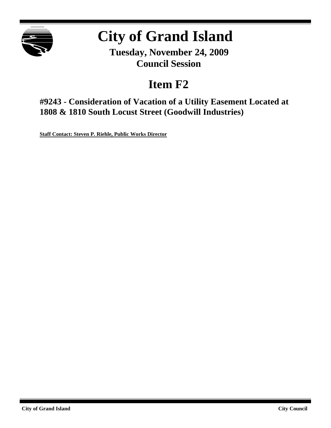

# **City of Grand Island**

**Tuesday, November 24, 2009 Council Session**

## **Item F2**

**#9243 - Consideration of Vacation of a Utility Easement Located at 1808 & 1810 South Locust Street (Goodwill Industries)**

**Staff Contact: Steven P. Riehle, Public Works Director**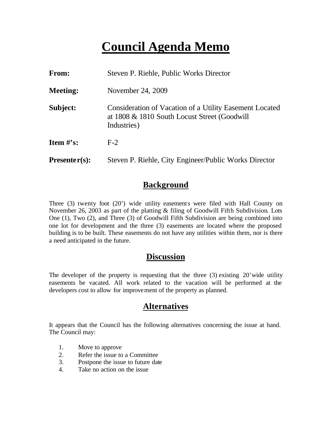## **Council Agenda Memo**

| <b>From:</b>    | Steven P. Riehle, Public Works Director                                                                                |
|-----------------|------------------------------------------------------------------------------------------------------------------------|
| <b>Meeting:</b> | November 24, 2009                                                                                                      |
| Subject:        | Consideration of Vacation of a Utility Easement Located<br>at 1808 & 1810 South Locust Street (Goodwill<br>Industries) |
| Item $\#$ 's:   | $F-2$                                                                                                                  |
| $Presenter(s):$ | Steven P. Riehle, City Engineer/Public Works Director                                                                  |

### **Background**

Three (3) twenty foot (20') wide utility easements were filed with Hall County on November 26, 2003 as part of the platting & filing of Goodwill Fifth Subdivision. Lots One (1), Two (2), and Three (3) of Goodwill Fifth Subdivision are being combined into one lot for development and the three (3) easements are located where the proposed building is to be built. These easements do not have any utilities within them, nor is there a need anticipated in the future.

### **Discussion**

The developer of the property is requesting that the three (3) existing 20'wide utility easements be vacated. All work related to the vacation will be performed at the developers cost to allow for improvement of the property as planned.

### **Alternatives**

It appears that the Council has the following alternatives concerning the issue at hand. The Council may:

- 1. Move to approve
- 2. Refer the issue to a Committee
- 3. Postpone the issue to future date
- 4. Take no action on the issue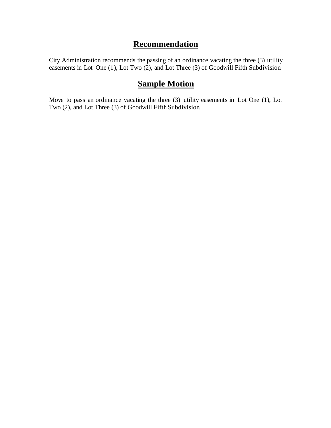## **Recommendation**

City Administration recommends the passing of an ordinance vacating the three (3) utility easements in Lot One (1), Lot Two (2), and Lot Three (3) of Goodwill Fifth Subdivision.

## **Sample Motion**

Move to pass an ordinance vacating the three (3) utility easements in Lot One (1), Lot Two (2), and Lot Three (3) of Goodwill Fifth Subdivision.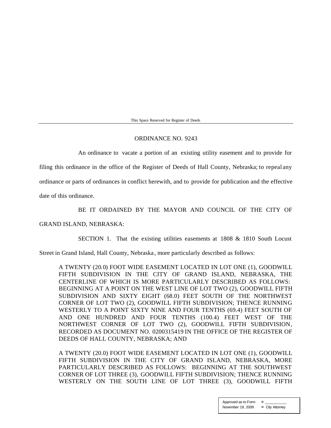This Space Reserved for Register of Deeds

#### ORDINANCE NO. 9243

An ordinance to vacate a portion of an existing utility easement and to provide for

filing this ordinance in the office of the Register of Deeds of Hall County, Nebraska; to repeal any

ordinance or parts of ordinances in conflict herewith, and to provide for publication and the effective

date of this ordinance.

#### BE IT ORDAINED BY THE MAYOR AND COUNCIL OF THE CITY OF

#### GRAND ISLAND, NEBRASKA:

SECTION 1. That the existing utilities easements at 1808 & 1810 South Locust

Street in Grand Island, Hall County, Nebraska , more particularly described as follows:

A TWENTY (20.0) FOOT WIDE EASEMENT LOCATED IN LOT ONE (1), GOODWILL FIFTH SUBDIVISION IN THE CITY OF GRAND ISLAND, NEBRASKA, THE CENTERLINE OF WHICH IS MORE PARTICULARLY DESCRIBED AS FOLLOWS: BEGINNING AT A POINT ON THE WEST LINE OF LOT TWO (2), GOODWILL FIFTH SUBDIVISION AND SIXTY EIGHT (68.0) FEET SOUTH OF THE NORTHWEST CORNER OF LOT TWO (2), GOODWILL FIFTH SUBDIVISION; THENCE RUNNING WESTERLY TO A POINT SIXTY NINE AND FOUR TENTHS (69.4) FEET SOUTH OF AND ONE HUNDRED AND FOUR TENTHS (100.4) FEET WEST OF THE NORTHWEST CORNER OF LOT TWO (2), GOODWILL FIFTH SUBDIVISION, RECORDED AS DOCUMENT NO. 0200315419 IN THE OFFICE OF THE REGISTER OF DEEDS OF HALL COUNTY, NEBRASKA; AND

A TWENTY (20.0) FOOT WIDE EASEMENT LOCATED IN LOT ONE (1), GOODWILL FIFTH SUBDIVISION IN THE CITY OF GRAND ISLAND, NEBRASKA, MORE PARTICULARLY DESCRIBED AS FOLLOWS: BEGINNING AT THE SOUTHWEST CORNER OF LOT THREE (3), GOODWILL FIFTH SUBDIVISION; THENCE RUNNING WESTERLY ON THE SOUTH LINE OF LOT THREE (3), GOODWILL FIFTH

> Approved as to Form  $\qquad \alpha$ November 19, 2009 **¤** City Attorney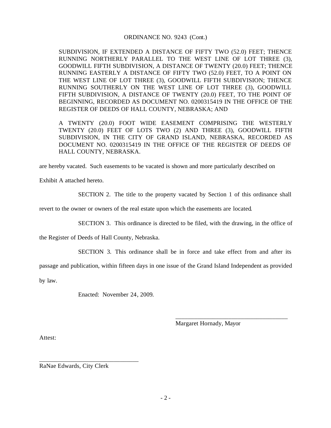#### ORDINANCE NO. 9243 (Cont.)

SUBDIVISION, IF EXTENDED A DISTANCE OF FIFTY TWO (52.0) FEET; THENCE RUNNING NORTHERLY PARALLEL TO THE WEST LINE OF LOT THREE (3), GOODWILL FIFTH SUBDIVISION, A DISTANCE OF TWENTY (20.0) FEET; THENCE RUNNING EASTERLY A DISTANCE OF FIFTY TWO (52.0) FEET, TO A POINT ON THE WEST LINE OF LOT THREE (3), GOODWILL FIFTH SUBDIVISION; THENCE RUNNING SOUTHERLY ON THE WEST LINE OF LOT THREE (3), GOODWILL FIFTH SUBDIVISION, A DISTANCE OF TWENTY (20.0) FEET, TO THE POINT OF BEGINNING, RECORDED AS DOCUMENT NO. 0200315419 IN THE OFFICE OF THE REGISTER OF DEEDS OF HALL COUNTY, NEBRASKA; AND

A TWENTY (20.0) FOOT WIDE EASEMENT COMPRISING THE WESTERLY TWENTY (20.0) FEET OF LOTS TWO (2) AND THREE (3), GOODWILL FIFTH SUBDIVISION, IN THE CITY OF GRAND ISLAND, NEBRASKA, RECORDED AS DOCUMENT NO. 0200315419 IN THE OFFICE OF THE REGISTER OF DEEDS OF HALL COUNTY, NEBRASKA.

are hereby vacated. Such easements to be vacated is shown and more particularly described on

Exhibit A attached hereto.

SECTION 2. The title to the property vacated by Section 1 of this ordinance shall

revert to the owner or owners of the real estate upon which the easements are located.

SECTION 3. This ordinance is directed to be filed, with the drawing, in the office of

the Register of Deeds of Hall County, Nebraska.

SECTION 3. This ordinance shall be in force and take effect from and after its

passage and publication, within fifteen days in one issue of the Grand Island Independent as provided

by law.

Enacted: November 24, 2009.

Margaret Hornady, Mayor

\_\_\_\_\_\_\_\_\_\_\_\_\_\_\_\_\_\_\_\_\_\_\_\_\_\_\_\_\_\_\_\_\_\_\_\_

Attest:

RaNae Edwards, City Clerk

\_\_\_\_\_\_\_\_\_\_\_\_\_\_\_\_\_\_\_\_\_\_\_\_\_\_\_\_\_\_\_\_